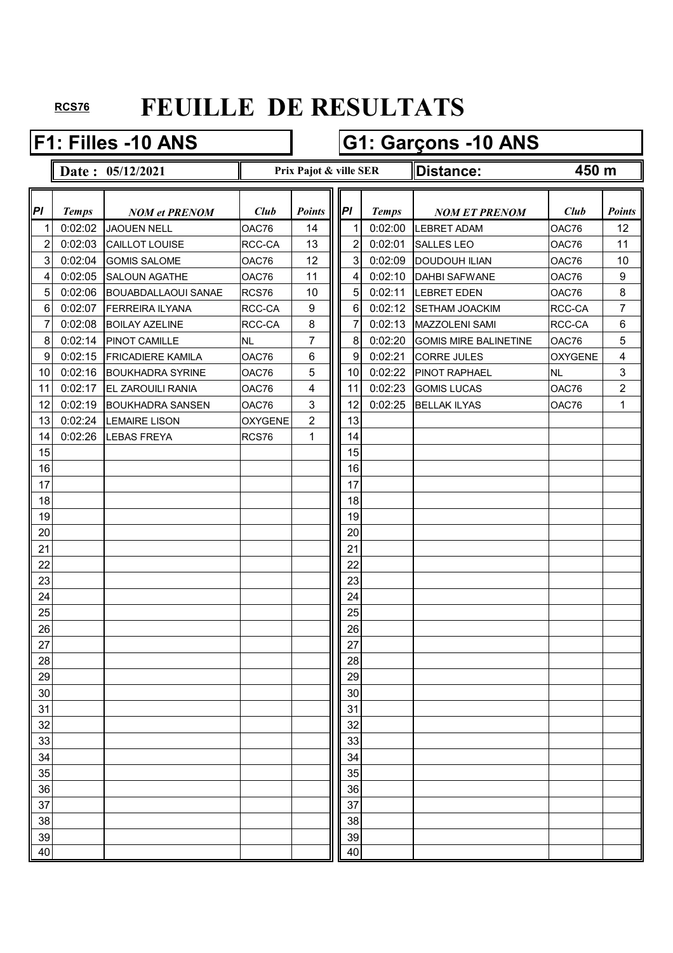### **F1: Filles -10 ANS G1: Garçons -10 ANS**

- 
- **Date : 05/12/2021 Distance: Prix Pajot & ville SER**

#### **450 m**

| Pl             | <b>Temps</b> | <b>NOM et PRENOM</b>       | Club           | <b>Points</b>    | PI              | <b>Temps</b> | <b>NOM ET PRENOM</b>         | Club           | <b>Points</b>           |
|----------------|--------------|----------------------------|----------------|------------------|-----------------|--------------|------------------------------|----------------|-------------------------|
| $\mathbf{1}$   | 0:02:02      | <b>JAOUEN NELL</b>         | OAC76          | 14               |                 | 0:02:00      | <b>LEBRET ADAM</b>           | OAC76          | 12                      |
| $\overline{2}$ | 0:02:03      | CAILLOT LOUISE             | RCC-CA         | 13               | 2               | 0:02:01      | <b>SALLES LEO</b>            | OAC76          | 11                      |
| $\overline{3}$ | 0:02:04      | <b>GOMIS SALOME</b>        | OAC76          | 12               | $\mathbf{3}$    | 0:02:09      | <b>DOUDOUH ILIAN</b>         | OAC76          | 10                      |
| $\overline{4}$ | 0:02:05      | <b>SALOUN AGATHE</b>       | OAC76          | 11               | 4               | 0:02:10      | <b>DAHBI SAFWANE</b>         | OAC76          | 9                       |
| 5 <sup>1</sup> | 0:02:06      | <b>BOUABDALLAOUI SANAE</b> | RCS76          | 10               | 5               | 0:02:11      | <b>LEBRET EDEN</b>           | OAC76          | 8                       |
| $6 \mid$       | 0:02:07      | <b>FERREIRA ILYANA</b>     | RCC-CA         | $\boldsymbol{9}$ | $6\phantom{1}6$ | 0:02:12      | <b>SETHAM JOACKIM</b>        | RCC-CA         | $\overline{7}$          |
| 7              | 0:02:08      | <b>BOILAY AZELINE</b>      | RCC-CA         | $\,8\,$          | 7               | 0:02:13      | <b>MAZZOLENI SAMI</b>        | RCC-CA         | $\,6$                   |
| 8 <sup>1</sup> | 0:02:14      | PINOT CAMILLE              | <b>NL</b>      | 7                | 8               | 0:02:20      | <b>GOMIS MIRE BALINETINE</b> | OAC76          | 5                       |
| 9              | 0:02:15      | <b>FRICADIERE KAMILA</b>   | OAC76          | 6                | 9               | 0:02:21      | <b>CORRE JULES</b>           | <b>OXYGENE</b> | $\overline{\mathbf{4}}$ |
| 10             | 0:02:16      | <b>BOUKHADRA SYRINE</b>    | OAC76          | 5                | 10              | 0:02:22      | <b>PINOT RAPHAEL</b>         | <b>NL</b>      | 3                       |
| 11             | 0:02:17      | <b>EL ZAROUILI RANIA</b>   | OAC76          | 4                | 11              | 0:02:23      | <b>GOMIS LUCAS</b>           | OAC76          | $\overline{c}$          |
| 12             | 0:02:19      | <b>BOUKHADRA SANSEN</b>    | OAC76          | 3                | 12              | 0:02:25      | <b>BELLAK ILYAS</b>          | OAC76          | $\mathbf{1}$            |
| 13             | 0:02:24      | <b>LEMAIRE LISON</b>       | <b>OXYGENE</b> | $\overline{2}$   | 13              |              |                              |                |                         |
| 14             | 0:02:26      | <b>LEBAS FREYA</b>         | RCS76          | 1                | 14              |              |                              |                |                         |
| 15             |              |                            |                |                  | 15              |              |                              |                |                         |
| 16             |              |                            |                |                  | 16              |              |                              |                |                         |
| 17             |              |                            |                |                  | 17              |              |                              |                |                         |
| 18             |              |                            |                |                  | 18              |              |                              |                |                         |
| 19             |              |                            |                |                  | 19              |              |                              |                |                         |
| 20             |              |                            |                |                  | 20              |              |                              |                |                         |
| 21             |              |                            |                |                  | 21              |              |                              |                |                         |
| 22             |              |                            |                |                  | 22              |              |                              |                |                         |
| 23             |              |                            |                |                  | 23              |              |                              |                |                         |
| 24             |              |                            |                |                  | 24              |              |                              |                |                         |
| 25             |              |                            |                |                  | 25              |              |                              |                |                         |
| 26             |              |                            |                |                  | 26              |              |                              |                |                         |
| 27             |              |                            |                |                  | 27              |              |                              |                |                         |
| 28             |              |                            |                |                  | 28              |              |                              |                |                         |
| 29             |              |                            |                |                  | 29              |              |                              |                |                         |
| 30             |              |                            |                |                  | $30\,$          |              |                              |                |                         |
| 31             |              |                            |                |                  | 31              |              |                              |                |                         |
| 32             |              |                            |                |                  | 32              |              |                              |                |                         |
| 33             |              |                            |                |                  | 33              |              |                              |                |                         |
| 34             |              |                            |                |                  | 34              |              |                              |                |                         |
| 35             |              |                            |                |                  | 35              |              |                              |                |                         |
| 36             |              |                            |                |                  | 36              |              |                              |                |                         |
| 37             |              |                            |                |                  | 37              |              |                              |                |                         |
| 38             |              |                            |                |                  | 38              |              |                              |                |                         |
| 39             |              |                            |                |                  | 39              |              |                              |                |                         |
| 40             |              |                            |                |                  | 40              |              |                              |                |                         |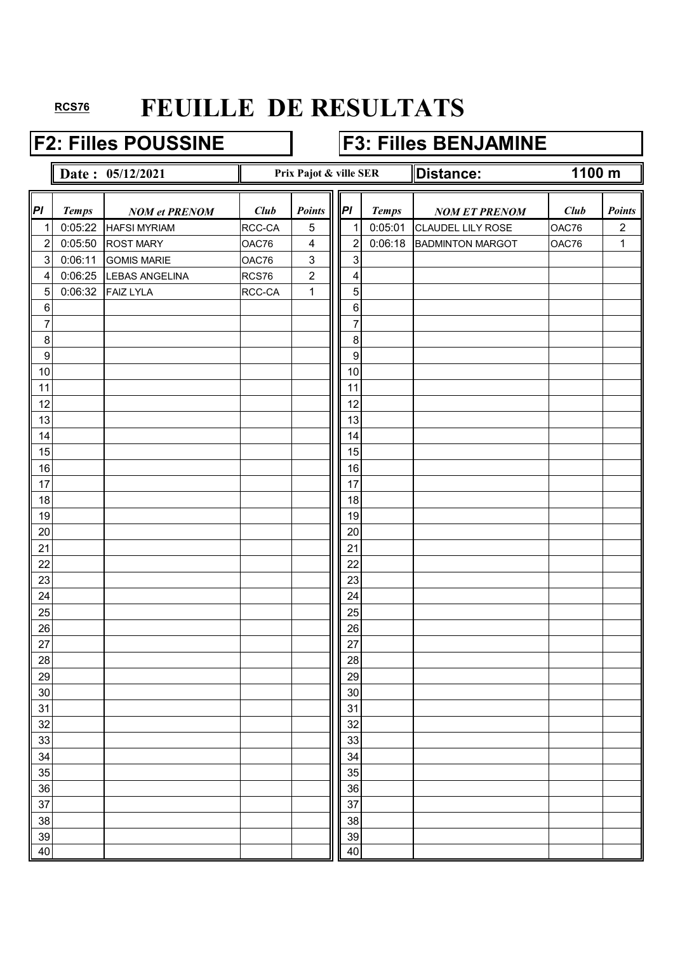### **F2: Filles POUSSINE F3: Filles BENJAMINE**

|                  |              | Date: 05/12/2021     |             | Prix Pajot & ville SER |                  |              | <b>Distance:</b>        |       | 1100 m         |  |
|------------------|--------------|----------------------|-------------|------------------------|------------------|--------------|-------------------------|-------|----------------|--|
| PI               | <b>Temps</b> | <b>NOM et PRENOM</b> | <b>Club</b> | Points                 | P                | <b>Temps</b> | <b>NOM ET PRENOM</b>    | Club  | <b>Points</b>  |  |
| 1                | 0:05:22      | <b>HAFSI MYRIAM</b>  | RCC-CA      | $\sqrt{5}$             | $\mathbf 1$      | 0:05:01      | CLAUDEL LILY ROSE       | OAC76 | $\overline{c}$ |  |
| $\overline{2}$   | 0:05:50      | <b>ROST MARY</b>     | OAC76       | 4                      | $\overline{2}$   | 0:06:18      | <b>BADMINTON MARGOT</b> | OAC76 | $\mathbf 1$    |  |
| $\sqrt{3}$       | 0:06:11      | <b>GOMIS MARIE</b>   | OAC76       | $\sqrt{3}$             | 3                |              |                         |       |                |  |
| 4                | 0:06:25      | LEBAS ANGELINA       | RCS76       | $\boldsymbol{2}$       | 4                |              |                         |       |                |  |
| 5                | 0:06:32      | <b>FAIZ LYLA</b>     | RCC-CA      | $\mathbf 1$            | 5                |              |                         |       |                |  |
| $\,6\,$          |              |                      |             |                        | $\,6\,$          |              |                         |       |                |  |
| 7                |              |                      |             |                        | $\overline{7}$   |              |                         |       |                |  |
| $\, 8$           |              |                      |             |                        | 8                |              |                         |       |                |  |
| $\boldsymbol{9}$ |              |                      |             |                        | $\boldsymbol{9}$ |              |                         |       |                |  |
| 10               |              |                      |             |                        | 10               |              |                         |       |                |  |
| 11               |              |                      |             |                        | 11               |              |                         |       |                |  |
| 12               |              |                      |             |                        | 12               |              |                         |       |                |  |
| 13               |              |                      |             |                        | 13               |              |                         |       |                |  |
| 14               |              |                      |             |                        | 14               |              |                         |       |                |  |
| 15               |              |                      |             |                        | 15               |              |                         |       |                |  |
| 16               |              |                      |             |                        | 16               |              |                         |       |                |  |
| 17               |              |                      |             |                        | 17<br>18         |              |                         |       |                |  |
| 18<br>19         |              |                      |             |                        | 19               |              |                         |       |                |  |
| 20               |              |                      |             |                        | 20               |              |                         |       |                |  |
| 21               |              |                      |             |                        | 21               |              |                         |       |                |  |
| 22               |              |                      |             |                        | 22               |              |                         |       |                |  |
| 23               |              |                      |             |                        | 23               |              |                         |       |                |  |
| 24               |              |                      |             |                        | 24               |              |                         |       |                |  |
| 25               |              |                      |             |                        | 25               |              |                         |       |                |  |
| 26               |              |                      |             |                        | 26               |              |                         |       |                |  |
| 27               |              |                      |             |                        | 27               |              |                         |       |                |  |
| 28               |              |                      |             |                        | 28               |              |                         |       |                |  |
| 29               |              |                      |             |                        | 29               |              |                         |       |                |  |
| 30               |              |                      |             |                        | 30               |              |                         |       |                |  |
| 31               |              |                      |             |                        | 31               |              |                         |       |                |  |
| 32               |              |                      |             |                        | 32               |              |                         |       |                |  |
| 33               |              |                      |             |                        | 33               |              |                         |       |                |  |
| 34               |              |                      |             |                        | 34               |              |                         |       |                |  |
| 35               |              |                      |             |                        | 35               |              |                         |       |                |  |
| 36               |              |                      |             |                        | 36               |              |                         |       |                |  |
| 37               |              |                      |             |                        | 37               |              |                         |       |                |  |
| 38               |              |                      |             |                        | 38               |              |                         |       |                |  |
| 39               |              |                      |             |                        | 39               |              |                         |       |                |  |
| 40               |              |                      |             |                        | 40               |              |                         |       |                |  |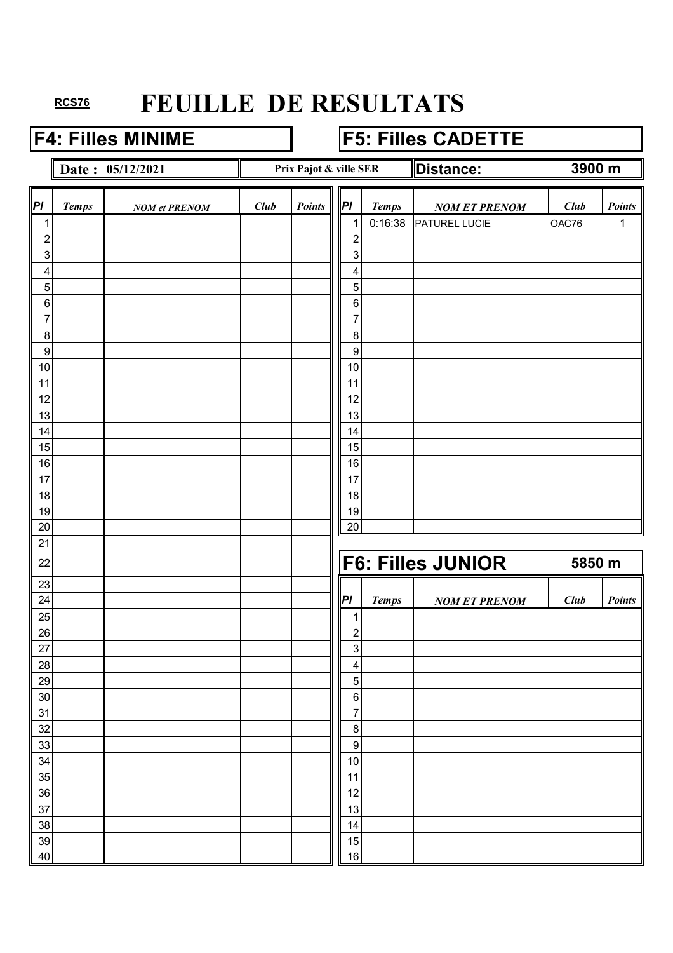## **F4: Filles MINIME F5: Filles CADETTE**

**Date :** 05/12/2021 **Prix Pajot & ville SER Distance:** 

**3900 m**

| PI               | <b>Temps</b> | <b>NOM</b> et PRENOM | Club | <b>Points</b> | P                           | <b>Temps</b> | <b>NOM ET PRENOM</b>     | Club   | Points        |
|------------------|--------------|----------------------|------|---------------|-----------------------------|--------------|--------------------------|--------|---------------|
| 1                |              |                      |      |               | 1                           | 0:16:38      | PATUREL LUCIE            | OAC76  | 1             |
| $\overline{c}$   |              |                      |      |               | $\overline{c}$              |              |                          |        |               |
| $\mathbf{3}$     |              |                      |      |               | $\sqrt{3}$                  |              |                          |        |               |
| 4                |              |                      |      |               | 4                           |              |                          |        |               |
| $\overline{5}$   |              |                      |      |               | $\overline{5}$              |              |                          |        |               |
| $\,6\,$          |              |                      |      |               | $\,6\,$                     |              |                          |        |               |
| $\overline{7}$   |              |                      |      |               | $\overline{7}$              |              |                          |        |               |
| 8                |              |                      |      |               | $\,8\,$                     |              |                          |        |               |
| $\boldsymbol{9}$ |              |                      |      |               | $\boldsymbol{9}$            |              |                          |        |               |
| 10               |              |                      |      |               | 10                          |              |                          |        |               |
| 11               |              |                      |      |               | 11                          |              |                          |        |               |
| 12               |              |                      |      |               | 12                          |              |                          |        |               |
| 13               |              |                      |      |               | 13                          |              |                          |        |               |
| 14               |              |                      |      |               | 14                          |              |                          |        |               |
| 15<br>16         |              |                      |      |               | 15<br>16                    |              |                          |        |               |
| 17               |              |                      |      |               | 17                          |              |                          |        |               |
| 18               |              |                      |      |               | 18                          |              |                          |        |               |
| 19               |              |                      |      |               | $19$                        |              |                          |        |               |
| 20               |              |                      |      |               | 20                          |              |                          |        |               |
| 21               |              |                      |      |               |                             |              |                          |        |               |
| 22               |              |                      |      |               |                             |              | <b>F6: Filles JUNIOR</b> | 5850 m |               |
| 23               |              |                      |      |               |                             |              |                          |        |               |
| 24               |              |                      |      |               | PI                          | <b>Temps</b> | <b>NOM ET PRENOM</b>     | Club   | <b>Points</b> |
| 25               |              |                      |      |               | 1                           |              |                          |        |               |
| 26               |              |                      |      |               | $\overline{c}$              |              |                          |        |               |
| 27               |              |                      |      |               | $\sqrt{3}$                  |              |                          |        |               |
| 28               |              |                      |      |               | 4                           |              |                          |        |               |
| 29               |              |                      |      |               | $\overline{5}$              |              |                          |        |               |
| $30\,$           |              |                      |      |               | $\,6\,$                     |              |                          |        |               |
| 31               |              |                      |      |               | $\boldsymbol{7}$            |              |                          |        |               |
| 32<br>33         |              |                      |      |               | $\bf 8$<br>$\boldsymbol{9}$ |              |                          |        |               |
| 34               |              |                      |      |               | $10$                        |              |                          |        |               |
| 35               |              |                      |      |               | 11                          |              |                          |        |               |
| 36               |              |                      |      |               | 12                          |              |                          |        |               |
| 37               |              |                      |      |               | 13                          |              |                          |        |               |
| 38               |              |                      |      |               | 14                          |              |                          |        |               |
| 39               |              |                      |      |               | 15                          |              |                          |        |               |
| 40               |              |                      |      |               | 16                          |              |                          |        |               |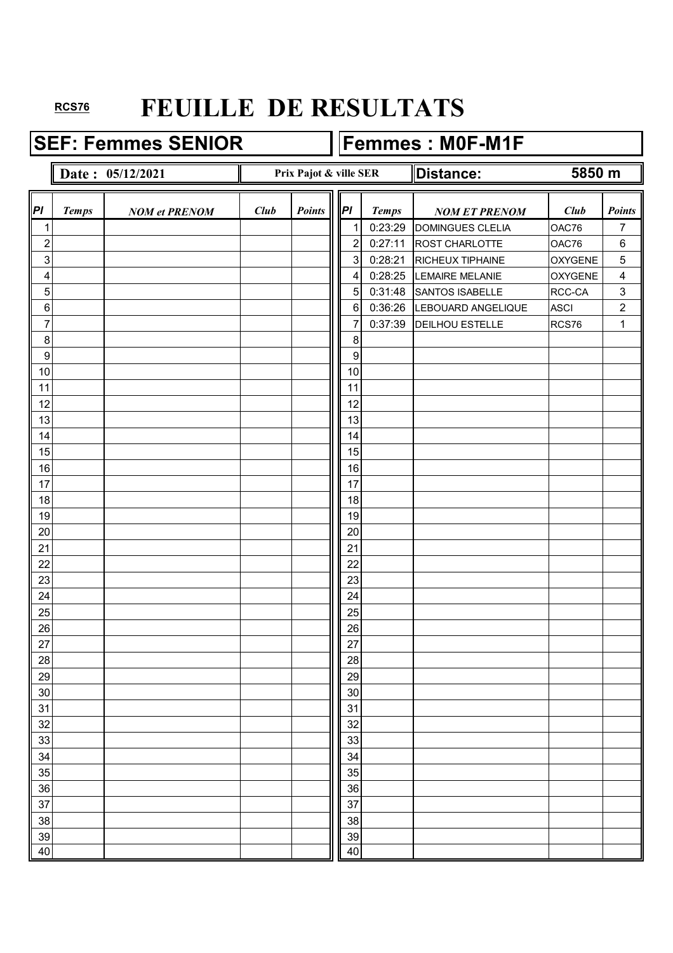**SEF: Femmes SENIOR Femmes : M0F-M1F** 

#### **Date : 05/12/2021 Distance: Distance:** *Pl Temps NOM et PRENOM Club Points*  $\|\|P\|$  *Temps NOM ET PRENOM Club Points* 1 1 1 0:23:29 DOMINGUES CLELIA 0AC76 7 2 2 2 2 0:27:11 ROST CHARLOTTE 0AC76 6 3 3 0:28:21 RICHEUX TIPHAINE OXYGENE 5 4 4 0:28:25 LEMAIRE MELANIE OXYGENE 4 5 5 0:31:48 SANTOS ISABELLE RCC-CA 3 6 6 6 0:36:26 LEBOUARD ANGELIQUE ASCI 2 7 7 2 2 2 37:39 DEILHOU ESTELLE RCS76 1 8 8 9 9 10 10 10 10 10 10 10 10 10 10 10 11 10 11 11 11 12 | | | | | | | | | | | 12 13 | | | | | | | | | | | | 13 14 14 14 15 15 15 16 16 16 17 | | | | | | | | | | | | 17 18 18 18 19 19 20 | | | | | | | | | | | | | 20 21 21 22 | | | | | | | | | | 22 23 | | | | | | | | | | | | 23 24 124 25 | | | | | | | | | | | | | | 25 26 26 27 | | | | | | | | | | | 27 28 28 29 29 30 30 31 31 32 32 33 | | | | | | | | | | | | 33 34 34 35 | | | | | | | | | | | | 35 36 36 37 37 37 37 38 38 38 38 39 39 30 31 32 33 34 35 36 37 38 39 30 31 32 33 33 34 35 35 35 35 35 35 35 35 35 35 35 38 38 39 39 40 | 100 | 100 | 100 | 100 | 100 | 100 | 100 | 100 | 100 | 100 | 100 | 100 | 100 | 100 | 100 | 100 | 100 | 10 **Prix Pajot & ville SER 5850 m**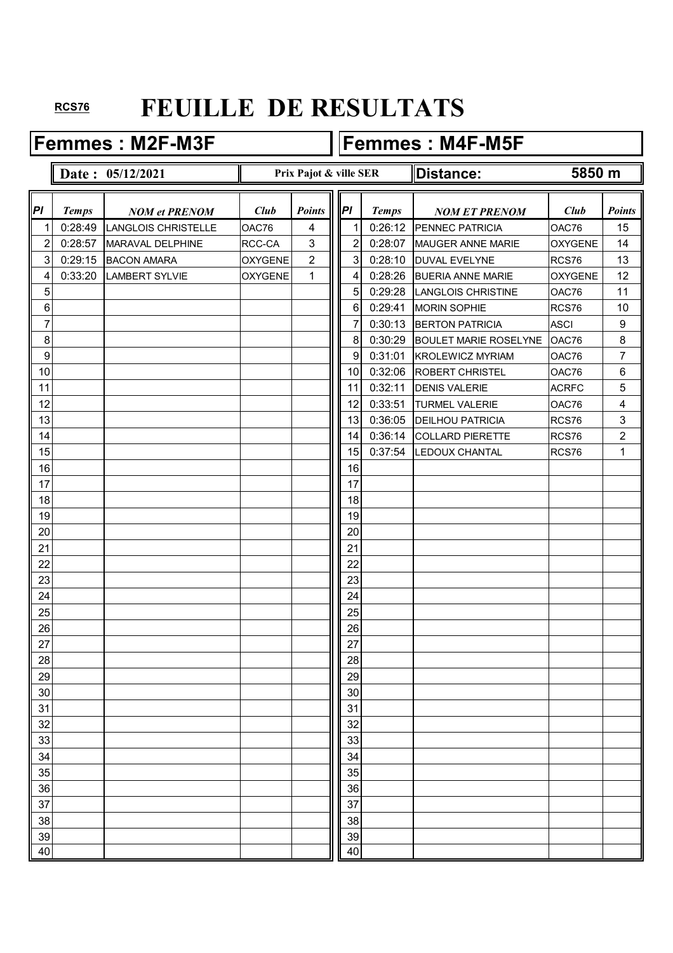Femmes : M2F-M3F **Femmes : M4F-M5F** 

#### **Date :**  $05/12/2021$  **Distance:** *Pl Temps NOM et PRENOM Club Points*  $\|\|P\|$  *Temps NOM ET PRENOM Club Points* 1 0:28:49 LANGLOIS CHRISTELLE  $\vert$  OAC76 | 4 || 1 0:26:12 PENNEC PATRICIA  $\vert$  OAC76 | 15 2 0:28:57 MARAVAL DELPHINE RCC-CA 3  $\|$  2 0:28:07 MAUGER ANNE MARIE OXYGENE 14 3 0:29:15 BACON AMARA OXYGENE 2 3 0:28:10 DUVAL EVELYNE RCS76 13 4 0:33:20 LAMBERT SYLVIE OXYGENE 1 4 0:28:26 BUERIA ANNE MARIE OXYGENE 12 5 5 0:29:28 LANGLOIS CHRISTINE 0AC76 11 6 6 0:29:41 MORIN SOPHIE RCS76 10 7 7 7 20030:13 BERTON PATRICIA ASCI 9 8 8 8 8 20:30:29 BOULET MARIE ROSELYNE OAC76 8 9 9 9 9 9 9 0:31:01 KROLEWICZ MYRIAM OAC76 7 10 10 10 10 0:32:06 ROBERT CHRISTEL 0AC76 6 11 11 0:32:11 DENIS VALERIE ACRFC 5 12 | | | | | | | | | | | | | | 12 | 0:33:51 |TURMEL VALERIE | OAC76 | 4 13 13 0:36:05 DEILHOU PATRICIA RCS76 3 14 | | | | | | | | | | | 14 0:36:14 COLLARD PIERETTE | RCS76 | 2 15 15 15 15 15 15 15 16 16 17 16 17 17 17 18 17 18 17 18 17 18 17 17 17 18 17 18 17 18 17 18 17 18 1 16 16 17 | | | | | | | | | | | | 17 18 18 18 19 19 20 | | | | | | | | | | | | | 20 21 21 22 | | | | | | | | | | 22 23 | | | | | | | | | | | | 23 24 124 25 | | | | | | | | | | | | | | 25 26 26 27 | | | | | | | | | | | 27 28 28 29 29 30 30 31 31 32 32 33 | | | | | | | | | | | | 33 34 34 35 35 36 36 37 37 37 37 38 38 38 39 39 30 31 32 33 34 35 36 37 38 39 30 31 32 33 34 35 35 35 35 35 35 35 35 35 35 35 35 35 38 38 39 39 40 | 100 | 100 | 100 | 100 | 100 | 100 | 100 | 100 | 100 | 100 | 100 | 100 | 100 | 100 | 100 | 100 | 100 | 10 **Prix Pajot & ville SER 5850 m**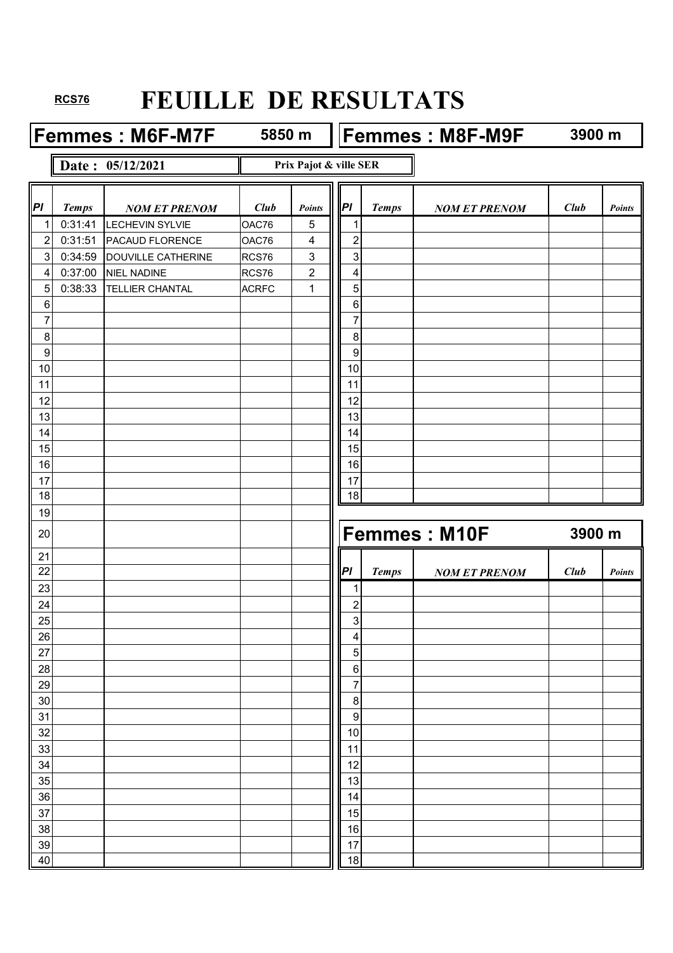**Femmes : M6F-M7F** 5850 m **Femmes : M8F-M9F** 

**5850 m**

**3900 m**

#### **Date : 05/12/2021**

**Prix Pajot & ville SER**

| P                | <b>Temps</b> | <b>NOM ET PRENOM</b>      | Club         | Points         | PI                        | <b>Temps</b> | <b>NOM ET PRENOM</b> | Club   | <b>Points</b> |
|------------------|--------------|---------------------------|--------------|----------------|---------------------------|--------------|----------------------|--------|---------------|
| 1                | 0:31:41      | <b>LECHEVIN SYLVIE</b>    | OAC76        | 5              | 1                         |              |                      |        |               |
| $\mathbf{2}$     | 0:31:51      | PACAUD FLORENCE           | OAC76        | 4              | $\overline{c}$            |              |                      |        |               |
| 3 <sup>1</sup>   | 0:34:59      | <b>DOUVILLE CATHERINE</b> | RCS76        | 3              | $\ensuremath{\mathsf{3}}$ |              |                      |        |               |
| $\overline{4}$   | 0:37:00      | <b>NIEL NADINE</b>        | RCS76        | $\overline{c}$ | 4                         |              |                      |        |               |
| $\overline{5}$   | 0:38:33      | <b>TELLIER CHANTAL</b>    | <b>ACRFC</b> | 1              | 5                         |              |                      |        |               |
| $\,6$            |              |                           |              |                | $\,6$                     |              |                      |        |               |
| $\overline{7}$   |              |                           |              |                | 7                         |              |                      |        |               |
| 8                |              |                           |              |                | 8                         |              |                      |        |               |
| $\boldsymbol{9}$ |              |                           |              |                | 9                         |              |                      |        |               |
| 10               |              |                           |              |                | 10                        |              |                      |        |               |
| 11               |              |                           |              |                | 11                        |              |                      |        |               |
| 12               |              |                           |              |                | 12                        |              |                      |        |               |
| 13               |              |                           |              |                | 13                        |              |                      |        |               |
| 14               |              |                           |              |                | 14                        |              |                      |        |               |
| 15               |              |                           |              |                | 15                        |              |                      |        |               |
| 16               |              |                           |              |                | 16                        |              |                      |        |               |
| 17               |              |                           |              |                | 17                        |              |                      |        |               |
| 18               |              |                           |              |                | 18                        |              |                      |        |               |
| 19               |              |                           |              |                |                           |              |                      |        |               |
| 20               |              |                           |              |                |                           |              | <b>Femmes: M10F</b>  | 3900 m |               |
| 21               |              |                           |              |                |                           |              |                      |        |               |
| 22               |              |                           |              |                | PI                        | <b>Temps</b> | <b>NOM ET PRENOM</b> | Club   | Points        |
| 23               |              |                           |              |                | 1                         |              |                      |        |               |
| 24               |              |                           |              |                | $\overline{2}$            |              |                      |        |               |
| 25               |              |                           |              |                |                           |              |                      |        |               |
|                  |              |                           |              |                | $\ensuremath{\mathsf{3}}$ |              |                      |        |               |
| 26               |              |                           |              |                | 4                         |              |                      |        |               |
| 27               |              |                           |              |                | 5                         |              |                      |        |               |
| 28               |              |                           |              |                | 6                         |              |                      |        |               |
| 29               |              |                           |              |                | $\overline{7}$            |              |                      |        |               |
| 30               |              |                           |              |                | $\,8\,$                   |              |                      |        |               |
| 31               |              |                           |              |                | $\boldsymbol{9}$          |              |                      |        |               |
| 32               |              |                           |              |                | 10                        |              |                      |        |               |
| 33               |              |                           |              |                | 11                        |              |                      |        |               |
| 34               |              |                           |              |                | 12                        |              |                      |        |               |
| 35               |              |                           |              |                | 13                        |              |                      |        |               |
| 36               |              |                           |              |                | 14                        |              |                      |        |               |
| 37               |              |                           |              |                | 15                        |              |                      |        |               |
| 38               |              |                           |              |                | 16                        |              |                      |        |               |
| 39<br>40         |              |                           |              |                | 17<br>18                  |              |                      |        |               |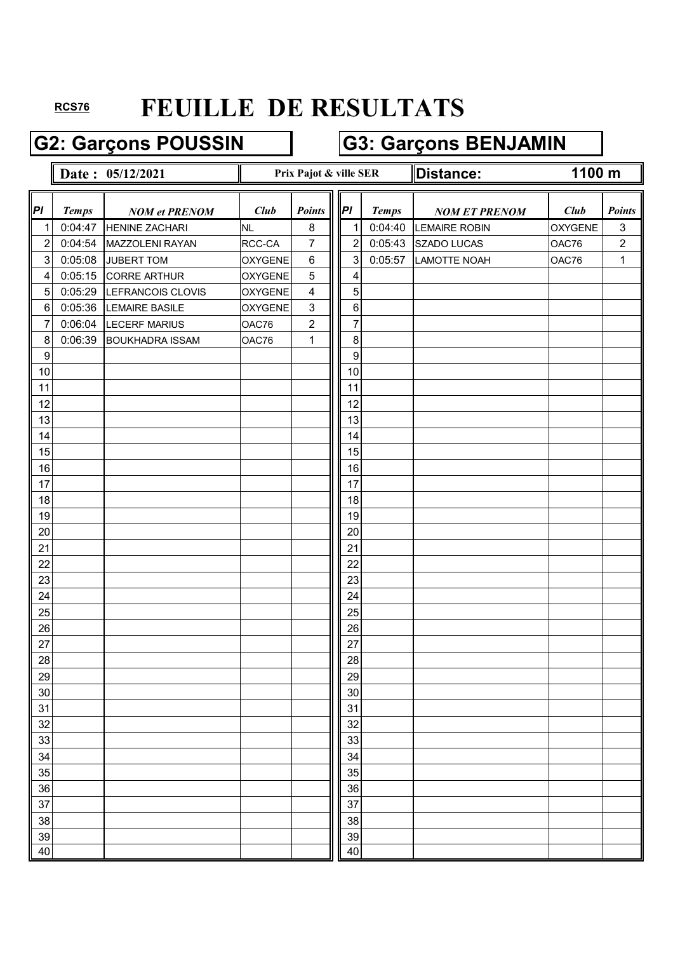# G2: Garçons POUSSIN **G3: Garçons BENJAMIN**

|                  |              | Date: 05/12/2021       |                | Prix Pajot & ville SER |                | ∥Distance:   | 1100 m               |         |               |
|------------------|--------------|------------------------|----------------|------------------------|----------------|--------------|----------------------|---------|---------------|
| PI               | <b>Temps</b> | <b>NOM et PRENOM</b>   | <b>Club</b>    | Points                 | P              | <b>Temps</b> | <b>NOM ET PRENOM</b> | Club    | <b>Points</b> |
| 1                | 0:04:47      | <b>HENINE ZACHARI</b>  | <b>NL</b>      | 8                      | 1              | 0:04:40      | <b>LEMAIRE ROBIN</b> | OXYGENE | $\mathbf{3}$  |
| $\overline{c}$   | 0:04:54      | MAZZOLENI RAYAN        | RCC-CA         | 7                      | $\overline{2}$ | 0:05:43      | SZADO LUCAS          | OAC76   | $\sqrt{2}$    |
| $\mathbf{3}$     | 0:05:08      | <b>JUBERT TOM</b>      | <b>OXYGENE</b> | $\,6$                  | 3              | 0:05:57      | <b>LAMOTTE NOAH</b>  | OAC76   | $\mathbf{1}$  |
| 4                | 0:05:15      | <b>CORRE ARTHUR</b>    | <b>OXYGENE</b> | $\overline{5}$         | 4              |              |                      |         |               |
| 5                | 0:05:29      | LEFRANCOIS CLOVIS      | <b>OXYGENE</b> | $\overline{4}$         | 5              |              |                      |         |               |
| $\,6$            | 0:05:36      | <b>LEMAIRE BASILE</b>  | <b>OXYGENE</b> | $\sqrt{3}$             | $\,6$          |              |                      |         |               |
| 7                | 0:06:04      | <b>LECERF MARIUS</b>   | OAC76          | $\mathbf 2$            | $\overline{7}$ |              |                      |         |               |
| 8                | 0:06:39      | <b>BOUKHADRA ISSAM</b> | OAC76          | $\mathbf{1}$           | 8              |              |                      |         |               |
| $\boldsymbol{9}$ |              |                        |                |                        | 9              |              |                      |         |               |
| 10               |              |                        |                |                        | 10             |              |                      |         |               |
| 11               |              |                        |                |                        | 11             |              |                      |         |               |
| 12               |              |                        |                |                        | 12             |              |                      |         |               |
| 13               |              |                        |                |                        | 13             |              |                      |         |               |
| 14               |              |                        |                |                        | 14             |              |                      |         |               |
| 15               |              |                        |                |                        | 15             |              |                      |         |               |
| 16               |              |                        |                |                        | 16             |              |                      |         |               |
| 17               |              |                        |                |                        | 17             |              |                      |         |               |
| 18               |              |                        |                |                        | 18             |              |                      |         |               |
| 19               |              |                        |                |                        | 19             |              |                      |         |               |
| 20               |              |                        |                |                        | 20             |              |                      |         |               |
| 21               |              |                        |                |                        | 21             |              |                      |         |               |
| 22               |              |                        |                |                        | 22             |              |                      |         |               |
| 23               |              |                        |                |                        | 23             |              |                      |         |               |
| 24               |              |                        |                |                        | 24             |              |                      |         |               |
| 25               |              |                        |                |                        | 25             |              |                      |         |               |
| 26               |              |                        |                |                        | 26             |              |                      |         |               |
| 27               |              |                        |                |                        | 27             |              |                      |         |               |
| 28               |              |                        |                |                        | 28             |              |                      |         |               |
| 29               |              |                        |                |                        | 29             |              |                      |         |               |
| 30               |              |                        |                |                        | 30             |              |                      |         |               |
| 31               |              |                        |                |                        | 31             |              |                      |         |               |
| 32               |              |                        |                |                        | 32             |              |                      |         |               |
| 33               |              |                        |                |                        | 33             |              |                      |         |               |
| 34               |              |                        |                |                        | 34             |              |                      |         |               |
| 35               |              |                        |                |                        | 35             |              |                      |         |               |
| 36               |              |                        |                |                        | 36             |              |                      |         |               |
| 37               |              |                        |                |                        | 37             |              |                      |         |               |
| 38               |              |                        |                |                        | 38             |              |                      |         |               |
| 39               |              |                        |                |                        | 39             |              |                      |         |               |
| 40               |              |                        |                |                        | 40             |              |                      |         |               |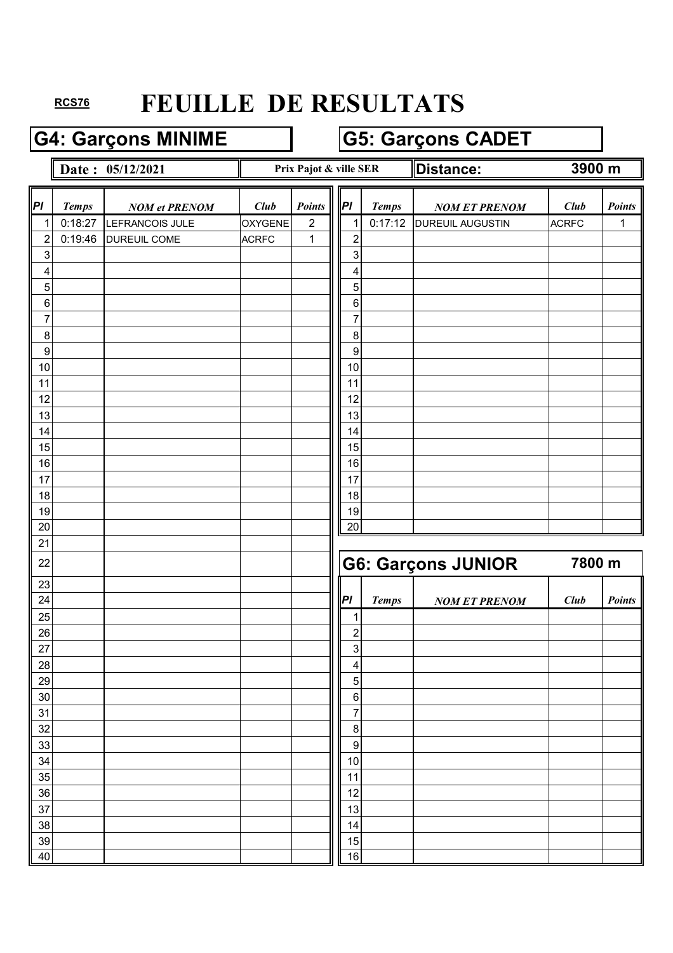## G4: Garçons MINIME **G5: Garçons CADET**

#### Date :  $05/12/2021$  **Prix Pajot & ville SER Distance: Prix Pajot & ville SER**

**3900 m**

| PI               | <b>Temps</b> | <b>NOM et PRENOM</b> | Club           | Points         | P                | <b>Temps</b> | <b>NOM ET PRENOM</b>      | Club         | <b>Points</b> |
|------------------|--------------|----------------------|----------------|----------------|------------------|--------------|---------------------------|--------------|---------------|
| $\mathbf 1$      | 0:18:27      | LEFRANCOIS JULE      | <b>OXYGENE</b> | $\overline{2}$ |                  | 0:17:12      | <b>DUREUIL AUGUSTIN</b>   | <b>ACRFC</b> | 1             |
| $\boldsymbol{2}$ | 0:19:46      | DUREUIL COME         | <b>ACRFC</b>   | $\mathbf 1$    | $\overline{c}$   |              |                           |              |               |
| 3                |              |                      |                |                | 3                |              |                           |              |               |
| 4                |              |                      |                |                | 4                |              |                           |              |               |
| 5                |              |                      |                |                | 5                |              |                           |              |               |
| 6                |              |                      |                |                | $\,6$            |              |                           |              |               |
| $\overline{7}$   |              |                      |                |                | 7                |              |                           |              |               |
| 8                |              |                      |                |                | $\, 8$           |              |                           |              |               |
| 9                |              |                      |                |                | 9                |              |                           |              |               |
| 10               |              |                      |                |                | 10               |              |                           |              |               |
| 11               |              |                      |                |                | 11               |              |                           |              |               |
| 12               |              |                      |                |                | 12               |              |                           |              |               |
| 13               |              |                      |                |                | 13               |              |                           |              |               |
| 14               |              |                      |                |                | 14               |              |                           |              |               |
| 15               |              |                      |                |                | 15               |              |                           |              |               |
| 16               |              |                      |                |                | 16               |              |                           |              |               |
| 17               |              |                      |                |                | 17               |              |                           |              |               |
| 18               |              |                      |                |                | 18               |              |                           |              |               |
| 19               |              |                      |                |                | 19               |              |                           |              |               |
| 20               |              |                      |                |                | 20               |              |                           |              |               |
| 21<br>22         |              |                      |                |                |                  |              | <b>G6: Garçons JUNIOR</b> | 7800 m       |               |
|                  |              |                      |                |                |                  |              |                           |              |               |
| 23               |              |                      |                |                |                  |              |                           |              |               |
| 24               |              |                      |                |                | PI               | <b>Temps</b> | <b>NOM ET PRENOM</b>      | Club         | <b>Points</b> |
| 25               |              |                      |                |                | 1                |              |                           |              |               |
| 26               |              |                      |                |                | $\overline{c}$   |              |                           |              |               |
| 27               |              |                      |                |                | 3                |              |                           |              |               |
| 28               |              |                      |                |                | 4                |              |                           |              |               |
| 29               |              |                      |                |                | 5                |              |                           |              |               |
|                  |              |                      |                |                |                  |              |                           |              |               |
| 30               |              |                      |                |                | 6                |              |                           |              |               |
| 31               |              |                      |                |                | $\overline{7}$   |              |                           |              |               |
| 32               |              |                      |                |                | $\, 8$           |              |                           |              |               |
| 33               |              |                      |                |                | $\boldsymbol{9}$ |              |                           |              |               |
| 34               |              |                      |                |                | 10               |              |                           |              |               |
| 35               |              |                      |                |                | 11               |              |                           |              |               |
| 36               |              |                      |                |                | 12               |              |                           |              |               |
| 37               |              |                      |                |                | 13               |              |                           |              |               |
| 38               |              |                      |                |                | 14               |              |                           |              |               |
| 39<br>40         |              |                      |                |                | 15<br>16         |              |                           |              |               |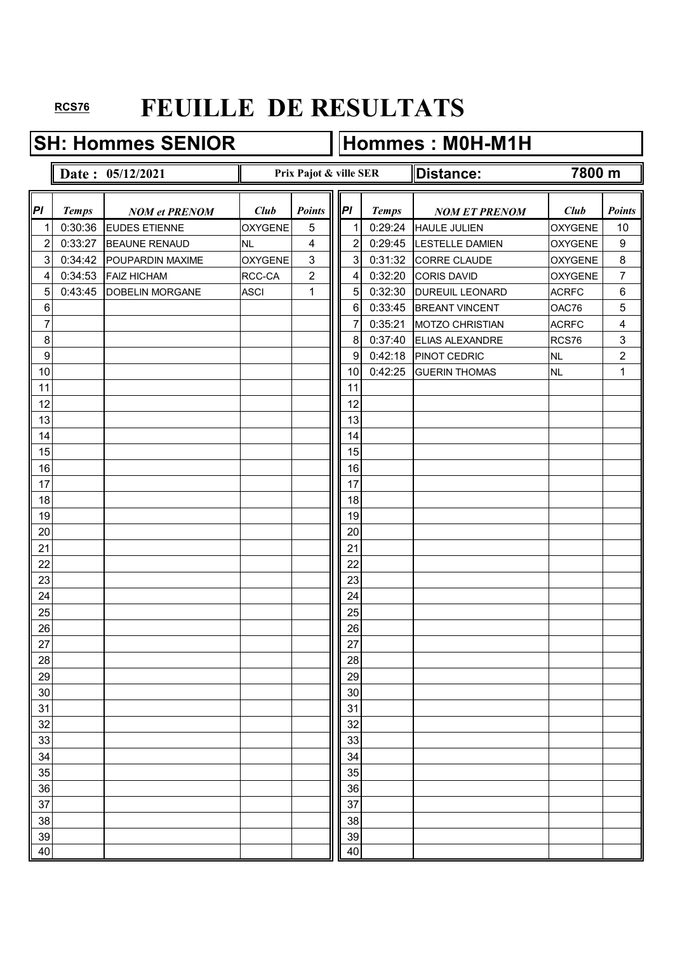#### **SH: Hommes SENIOR Hommes : M0H-M1H**

#### **Date :**  $05/12/2021$  **Distance:** *Pl Temps NOM et PRENOM Club Points*  $\|\|P\|$  *Temps NOM ET PRENOM Club Points* 1 0:30:36 EUDES ETIENNE OXYGENE 5 1 0:29:24 HAULE JULIEN OXYGENE 10 2 0:33:27 BEAUNE RENAUD NL 4 || 2 0:29:45 LESTELLE DAMIEN OXYGENE 9  $3$  0:34:42 POUPARDIN MAXIME  $\vert$  OXYGENE 3 || 3 0:31:32 CORRE CLAUDE  $\vert$  0XYGENE 8 4 0:34:53 FAIZ HICHAM RCC-CA 2  $\parallel \parallel 4$  0:32:20 CORIS DAVID OXYGENE 7 5 0:43:45 DOBELIN MORGANE ASCI 1 || 5 0:32:30 DUREUIL LEONARD ACRFC 6 6 6 0:33:45 BREANT VINCENT OAC76 5 7 7 20035:21 MOTZO CHRISTIAN ACRFC 4 8 8 0:37:40 ELIAS ALEXANDRE RCS76 3 9 9 9 23 238 PINOT CEDRIC NL 2 10 | | | | | | | | | | | | | 10 0:42:25 GUERIN THOMAS NL | 1 11 11 11 12 | | | | | | | | | | | 12 13 | | | | | | | | | | | | 13 14 14 14 15 15 15 16 16 16 17 | | | | | | | | | | | | 17 18 18 18 19 19 20 | | | | | | | | | | | | | 20 21 21 22 | | | | | | | | | | 22 23 | | | | | | | | | | | | 23 24 124 25 | | | | | | | | | | | | | | 25 26 26 27 | | | | | | | | | | | 27 28 28 29 29 30 30 31 31 32 32 33 | | | | | | | | | | | | 33 34 34 35 | | | | | | | | | | | | 35 36 36 37 37 37 37 38 38 38 38 39 39 30 31 32 33 34 35 36 37 38 39 30 31 32 33 33 34 35 35 35 35 35 35 35 35 35 35 35 38 38 39 39 40 | 100 | 100 | 100 | 100 | 100 | 100 | 100 | 100 | 100 | 100 | 100 | 100 | 100 | 100 | 100 | 100 | 100 | 10 **Prix Pajot & ville SER 7800 m**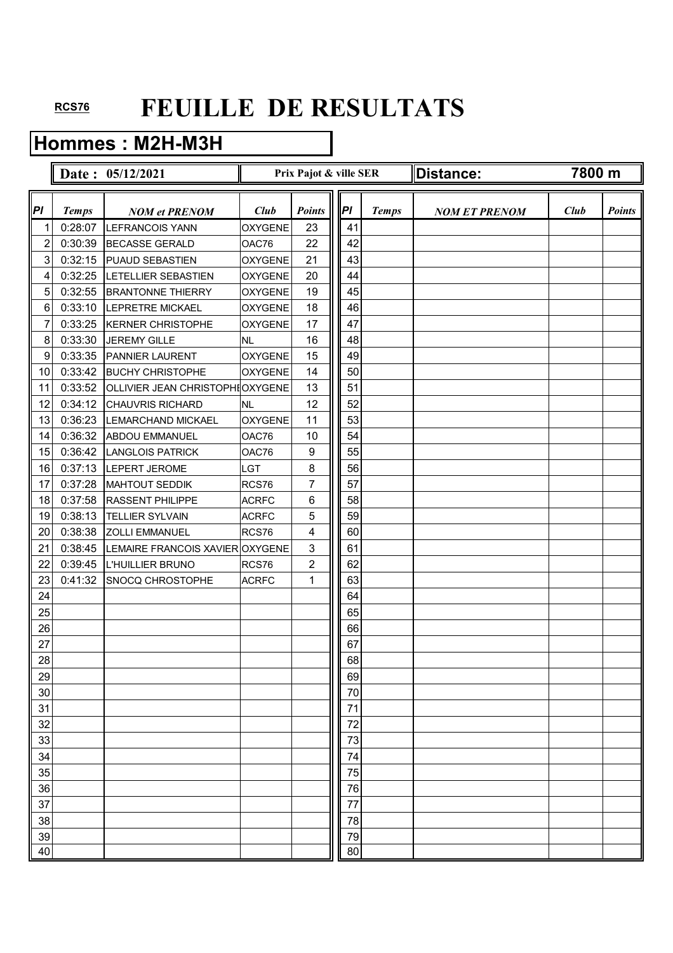## **Hommes : M2H-M3H**

|                         |              | Date: 05/12/2021                 |                | Prix Pajot & ville SER |    |              | Distance:            | 7800 m |               |
|-------------------------|--------------|----------------------------------|----------------|------------------------|----|--------------|----------------------|--------|---------------|
| Pl                      | <b>Temps</b> | <b>NOM et PRENOM</b>             | Club           | <b>Points</b>          | PI | <b>Temps</b> | <b>NOM ET PRENOM</b> | Club   | <b>Points</b> |
| 1                       | 0:28:07      | <b>LEFRANCOIS YANN</b>           | <b>OXYGENE</b> | 23                     | 41 |              |                      |        |               |
| $\overline{\mathbf{c}}$ | 0:30:39      | <b>BECASSE GERALD</b>            | OAC76          | 22                     | 42 |              |                      |        |               |
| 3                       | 0:32:15      | <b>PUAUD SEBASTIEN</b>           | <b>OXYGENE</b> | 21                     | 43 |              |                      |        |               |
| 4                       | 0:32:25      | <b>LETELLIER SEBASTIEN</b>       | <b>OXYGENE</b> | 20                     | 44 |              |                      |        |               |
| 5                       | 0:32:55      | <b>BRANTONNE THIERRY</b>         | <b>OXYGENE</b> | 19                     | 45 |              |                      |        |               |
| 6                       | 0:33:10      | <b>LEPRETRE MICKAEL</b>          | <b>OXYGENE</b> | 18                     | 46 |              |                      |        |               |
| 7                       | 0:33:25      | <b>KERNER CHRISTOPHE</b>         | <b>OXYGENE</b> | 17                     | 47 |              |                      |        |               |
| 8                       | 0:33:30      | <b>JEREMY GILLE</b>              | <b>NL</b>      | 16                     | 48 |              |                      |        |               |
| 9                       | 0:33:35      | <b>PANNIER LAURENT</b>           | <b>OXYGENE</b> | 15                     | 49 |              |                      |        |               |
| 10                      | 0:33:42      | <b>BUCHY CHRISTOPHE</b>          | <b>OXYGENE</b> | 14                     | 50 |              |                      |        |               |
| 11                      | 0:33:52      | OLLIVIER JEAN CHRISTOPHI OXYGENE |                | 13                     | 51 |              |                      |        |               |
| 12                      | 0:34:12      | <b>CHAUVRIS RICHARD</b>          | <b>NL</b>      | 12                     | 52 |              |                      |        |               |
| 13                      | 0:36:23      | <b>LEMARCHAND MICKAEL</b>        | <b>OXYGENE</b> | 11                     | 53 |              |                      |        |               |
| 14                      | 0:36:32      | <b>ABDOU EMMANUEL</b>            | OAC76          | 10                     | 54 |              |                      |        |               |
| 15                      | 0:36:42      | <b>LANGLOIS PATRICK</b>          | OAC76          | 9                      | 55 |              |                      |        |               |
| 16                      | 0:37:13      | LEPERT JEROME                    | LGT            | 8                      | 56 |              |                      |        |               |
| 17                      | 0:37:28      | <b>MAHTOUT SEDDIK</b>            | RCS76          | 7                      | 57 |              |                      |        |               |
| 18                      | 0:37:58      | <b>RASSENT PHILIPPE</b>          | <b>ACRFC</b>   | 6                      | 58 |              |                      |        |               |
| 19                      | 0:38:13      | <b>TELLIER SYLVAIN</b>           | <b>ACRFC</b>   | 5                      | 59 |              |                      |        |               |
| 20                      | 0:38:38      | <b>ZOLLI EMMANUEL</b>            | RCS76          | 4                      | 60 |              |                      |        |               |
| 21                      | 0:38:45      | LEMAIRE FRANCOIS XAVIER OXYGENE  |                | 3                      | 61 |              |                      |        |               |
| 22                      | 0:39:45      | L'HUILLIER BRUNO                 | RCS76          | $\overline{c}$         | 62 |              |                      |        |               |
| 23                      | 0:41:32      | <b>SNOCQ CHROSTOPHE</b>          | <b>ACRFC</b>   | 1                      | 63 |              |                      |        |               |
| 24                      |              |                                  |                |                        | 64 |              |                      |        |               |
| 25                      |              |                                  |                |                        | 65 |              |                      |        |               |
| 26                      |              |                                  |                |                        | 66 |              |                      |        |               |
| 27                      |              |                                  |                |                        | 67 |              |                      |        |               |
| 28                      |              |                                  |                |                        | 68 |              |                      |        |               |
| 29                      |              |                                  |                |                        | 69 |              |                      |        |               |
| 30                      |              |                                  |                |                        | 70 |              |                      |        |               |
| 31                      |              |                                  |                |                        | 71 |              |                      |        |               |
| 32                      |              |                                  |                |                        | 72 |              |                      |        |               |
| 33                      |              |                                  |                |                        | 73 |              |                      |        |               |
| 34                      |              |                                  |                |                        | 74 |              |                      |        |               |
| 35                      |              |                                  |                |                        | 75 |              |                      |        |               |
| 36                      |              |                                  |                |                        | 76 |              |                      |        |               |
| 37                      |              |                                  |                |                        | 77 |              |                      |        |               |
| 38                      |              |                                  |                |                        | 78 |              |                      |        |               |
| 39                      |              |                                  |                |                        | 79 |              |                      |        |               |
| 40                      |              |                                  |                |                        | 80 |              |                      |        |               |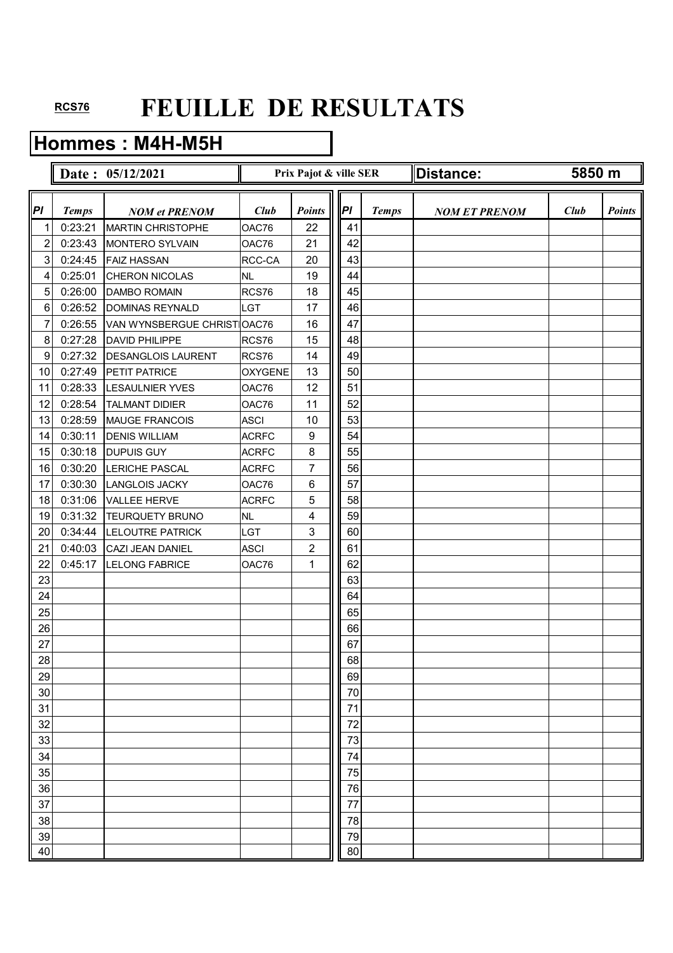## **Hommes : M4H-M5H**

|                         |              | Date: 05/12/2021            |                | Prix Pajot & ville SER |    |              | Distance:            | 5850 m |               |
|-------------------------|--------------|-----------------------------|----------------|------------------------|----|--------------|----------------------|--------|---------------|
| Pl                      | <b>Temps</b> | <b>NOM et PRENOM</b>        | Club           | <b>Points</b>          | PI | <b>Temps</b> | <b>NOM ET PRENOM</b> | Club   | <b>Points</b> |
| 1                       | 0:23:21      | <b>MARTIN CHRISTOPHE</b>    | OAC76          | 22                     | 41 |              |                      |        |               |
| $\overline{\mathbf{c}}$ | 0:23:43      | MONTERO SYLVAIN             | OAC76          | 21                     | 42 |              |                      |        |               |
| 3                       | 0:24:45      | <b>FAIZ HASSAN</b>          | RCC-CA         | 20                     | 43 |              |                      |        |               |
| 4                       | 0:25:01      | <b>CHERON NICOLAS</b>       | <b>NL</b>      | 19                     | 44 |              |                      |        |               |
| $\overline{5}$          | 0:26:00      | <b>DAMBO ROMAIN</b>         | RCS76          | 18                     | 45 |              |                      |        |               |
| 6                       | 0:26:52      | <b>DOMINAS REYNALD</b>      | <b>LGT</b>     | 17                     | 46 |              |                      |        |               |
| 7                       | 0:26:55      | VAN WYNSBERGUE CHRIST OAC76 |                | 16                     | 47 |              |                      |        |               |
| 8                       | 0:27:28      | <b>DAVID PHILIPPE</b>       | RCS76          | 15                     | 48 |              |                      |        |               |
| 9                       | 0:27:32      | <b>DESANGLOIS LAURENT</b>   | RCS76          | 14                     | 49 |              |                      |        |               |
| 10                      | 0:27:49      | PETIT PATRICE               | <b>OXYGENE</b> | 13                     | 50 |              |                      |        |               |
| 11                      | 0:28:33      | <b>LESAULNIER YVES</b>      | OAC76          | 12                     | 51 |              |                      |        |               |
| 12                      | 0:28:54      | <b>TALMANT DIDIER</b>       | OAC76          | 11                     | 52 |              |                      |        |               |
| 13                      | 0:28:59      | MAUGE FRANCOIS              | <b>ASCI</b>    | 10                     | 53 |              |                      |        |               |
| 14                      | 0:30:11      | <b>DENIS WILLIAM</b>        | <b>ACRFC</b>   | 9                      | 54 |              |                      |        |               |
| 15                      | 0:30:18      | <b>DUPUIS GUY</b>           | <b>ACRFC</b>   | 8                      | 55 |              |                      |        |               |
| 16                      | 0:30:20      | <b>LERICHE PASCAL</b>       | <b>ACRFC</b>   | 7                      | 56 |              |                      |        |               |
| 17                      | 0:30:30      | <b>LANGLOIS JACKY</b>       | OAC76          | 6                      | 57 |              |                      |        |               |
| 18                      | 0:31:06      | VALLEE HERVE                | <b>ACRFC</b>   | 5                      | 58 |              |                      |        |               |
| 19                      | 0:31:32      | TEURQUETY BRUNO             | <b>NL</b>      | 4                      | 59 |              |                      |        |               |
| 20                      | 0:34:44      | <b>LELOUTRE PATRICK</b>     | LGT            | 3                      | 60 |              |                      |        |               |
| 21                      | 0:40:03      | CAZI JEAN DANIEL            | <b>ASCI</b>    | 2                      | 61 |              |                      |        |               |
| 22                      | 0:45:17      | <b>LELONG FABRICE</b>       | OAC76          | 1                      | 62 |              |                      |        |               |
| 23                      |              |                             |                |                        | 63 |              |                      |        |               |
| 24                      |              |                             |                |                        | 64 |              |                      |        |               |
| 25                      |              |                             |                |                        | 65 |              |                      |        |               |
| 26                      |              |                             |                |                        | 66 |              |                      |        |               |
| 27                      |              |                             |                |                        | 67 |              |                      |        |               |
| 28                      |              |                             |                |                        | 68 |              |                      |        |               |
| 29                      |              |                             |                |                        | 69 |              |                      |        |               |
| 30                      |              |                             |                |                        | 70 |              |                      |        |               |
| 31                      |              |                             |                |                        | 71 |              |                      |        |               |
| 32                      |              |                             |                |                        | 72 |              |                      |        |               |
| 33                      |              |                             |                |                        | 73 |              |                      |        |               |
| 34                      |              |                             |                |                        | 74 |              |                      |        |               |
| 35                      |              |                             |                |                        | 75 |              |                      |        |               |
| 36                      |              |                             |                |                        | 76 |              |                      |        |               |
| 37                      |              |                             |                |                        | 77 |              |                      |        |               |
| 38                      |              |                             |                |                        | 78 |              |                      |        |               |
| 39                      |              |                             |                |                        | 79 |              |                      |        |               |
| 40                      |              |                             |                |                        | 80 |              |                      |        |               |